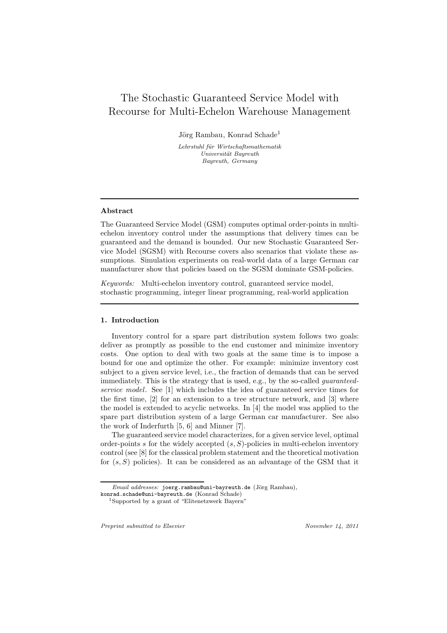# The Stochastic Guaranteed Service Model with Recourse for Multi-Echelon Warehouse Management

Jörg Rambau, Konrad Schade<sup>1</sup>

Lehrstuhl für Wirtschaftsmathematik Universität Bayreuth Bayreuth, Germany

## Abstract

The Guaranteed Service Model (GSM) computes optimal order-points in multiechelon inventory control under the assumptions that delivery times can be guaranteed and the demand is bounded. Our new Stochastic Guaranteed Service Model (SGSM) with Recourse covers also scenarios that violate these assumptions. Simulation experiments on real-world data of a large German car manufacturer show that policies based on the SGSM dominate GSM-policies.

*Keywords:* Multi-echelon inventory control, guaranteed service model, stochastic programming, integer linear programming, real-world application

## 1. Introduction

Inventory control for a spare part distribution system follows two goals: deliver as promptly as possible to the end customer and minimize inventory costs. One option to deal with two goals at the same time is to impose a bound for one and optimize the other. For example: minimize inventory cost subject to a given service level, i.e., the fraction of demands that can be served immediately. This is the strategy that is used, e.g., by the so-called *guaranteedservice model*. See [1] which includes the idea of guaranteed service times for the first time, [2] for an extension to a tree structure network, and [3] where the model is extended to acyclic networks. In [4] the model was applied to the spare part distribution system of a large German car manufacturer. See also the work of Inderfurth [5, 6] and Minner [7].

The guaranteed service model characterizes, for a given service level, optimal order-points s for the widely accepted  $(s, S)$ -policies in multi-echelon inventory control (see [8] for the classical problem statement and the theoretical motivation for  $(s, S)$  policies). It can be considered as an advantage of the GSM that it

Preprint submitted to Elsevier November 14, 2011

Email addresses: joerg.rambau@uni-bayreuth.de (Jörg Rambau),

konrad.schade@uni-bayreuth.de (Konrad Schade)

<sup>1</sup>Supported by a grant of "Elitenetzwerk Bayern"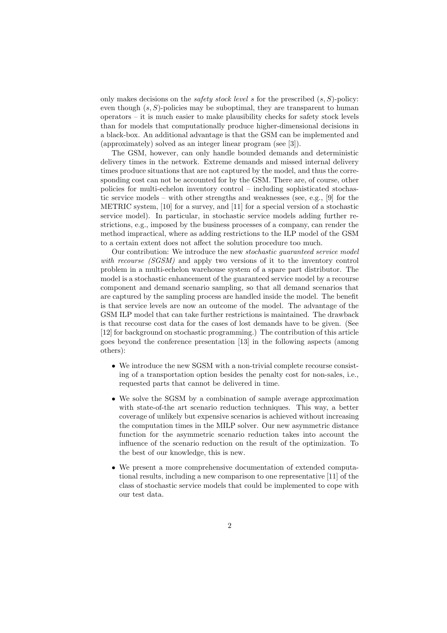only makes decisions on the *safety stock level* s for the prescribed (s, S)-policy: even though  $(s, S)$ -policies may be suboptimal, they are transparent to human operators – it is much easier to make plausibility checks for safety stock levels than for models that computationally produce higher-dimensional decisions in a black-box. An additional advantage is that the GSM can be implemented and (approximately) solved as an integer linear program (see [3]).

The GSM, however, can only handle bounded demands and deterministic delivery times in the network. Extreme demands and missed internal delivery times produce situations that are not captured by the model, and thus the corresponding cost can not be accounted for by the GSM. There are, of course, other policies for multi-echelon inventory control – including sophisticated stochastic service models – with other strengths and weaknesses (see, e.g., [9] for the METRIC system, [10] for a survey, and [11] for a special version of a stochastic service model). In particular, in stochastic service models adding further restrictions, e.g., imposed by the business processes of a company, can render the method impractical, where as adding restrictions to the ILP model of the GSM to a certain extent does not affect the solution procedure too much.

Our contribution: We introduce the new *stochastic guaranteed service model with recourse (SGSM)* and apply two versions of it to the inventory control problem in a multi-echelon warehouse system of a spare part distributor. The model is a stochastic enhancement of the guaranteed service model by a recourse component and demand scenario sampling, so that all demand scenarios that are captured by the sampling process are handled inside the model. The benefit is that service levels are now an outcome of the model. The advantage of the GSM ILP model that can take further restrictions is maintained. The drawback is that recourse cost data for the cases of lost demands have to be given. (See [12] for background on stochastic programming.) The contribution of this article goes beyond the conference presentation [13] in the following aspects (among others):

- We introduce the new SGSM with a non-trivial complete recourse consisting of a transportation option besides the penalty cost for non-sales, i.e., requested parts that cannot be delivered in time.
- We solve the SGSM by a combination of sample average approximation with state-of-the art scenario reduction techniques. This way, a better coverage of unlikely but expensive scenarios is achieved without increasing the computation times in the MILP solver. Our new asymmetric distance function for the asymmetric scenario reduction takes into account the influence of the scenario reduction on the result of the optimization. To the best of our knowledge, this is new.
- We present a more comprehensive documentation of extended computational results, including a new comparison to one representative [11] of the class of stochastic service models that could be implemented to cope with our test data.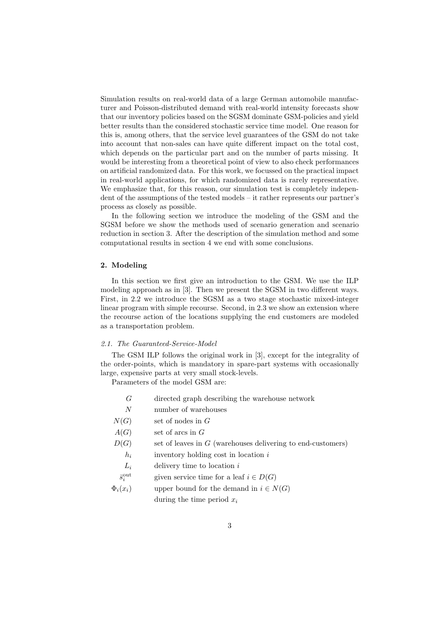Simulation results on real-world data of a large German automobile manufacturer and Poisson-distributed demand with real-world intensity forecasts show that our inventory policies based on the SGSM dominate GSM-policies and yield better results than the considered stochastic service time model. One reason for this is, among others, that the service level guarantees of the GSM do not take into account that non-sales can have quite different impact on the total cost, which depends on the particular part and on the number of parts missing. It would be interesting from a theoretical point of view to also check performances on artificial randomized data. For this work, we focussed on the practical impact in real-world applications, for which randomized data is rarely representative. We emphasize that, for this reason, our simulation test is completely independent of the assumptions of the tested models – it rather represents our partner's process as closely as possible.

In the following section we introduce the modeling of the GSM and the SGSM before we show the methods used of scenario generation and scenario reduction in section 3. After the description of the simulation method and some computational results in section 4 we end with some conclusions.

#### 2. Modeling

In this section we first give an introduction to the GSM. We use the ILP modeling approach as in [3]. Then we present the SGSM in two different ways. First, in 2.2 we introduce the SGSM as a two stage stochastic mixed-integer linear program with simple recourse. Second, in 2.3 we show an extension where the recourse action of the locations supplying the end customers are modeled as a transportation problem.

# *2.1. The Guaranteed-Service-Model*

The GSM ILP follows the original work in [3], except for the integrality of the order-points, which is mandatory in spare-part systems with occasionally large, expensive parts at very small stock-levels.

Parameters of the model GSM are:

| G                        | directed graph describing the warehouse network               |
|--------------------------|---------------------------------------------------------------|
| N                        | number of warehouses                                          |
| N(G)                     | set of nodes in $G$                                           |
| A(G)                     | set of arcs in $G$                                            |
| D(G)                     | set of leaves in $G$ (warehouses delivering to end-customers) |
| $h_i$                    | inventory holding cost in location $i$                        |
| $L_i$                    | delivery time to location $i$                                 |
| $\bar{s}_i^{\text{out}}$ | given service time for a leaf $i \in D(G)$                    |
| $\Phi_i(x_i)$            | upper bound for the demand in $i \in N(G)$                    |
|                          | during the time period $x_i$                                  |
|                          |                                                               |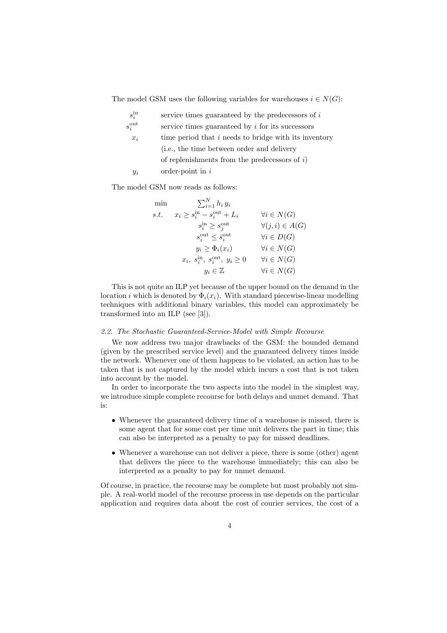The model GSM uses the following variables for warehouses  $i \in N(G)$ :

| $s_i^{\rm in}$     | service times guaranteed by the predecessors of $i$   |
|--------------------|-------------------------------------------------------|
| $s_i^{\text{out}}$ | service times guaranteed by $i$ for its successors    |
| $x_i$              | time period that i needs to bridge with its inventory |
|                    | (i.e., the time between order and delivery            |
|                    | of replenishments from the predecessors of $i$ )      |
| $y_i$              | order-point in $i$                                    |

The model GSM now reads as follows:

| min  | $\sum_{i=1}^N h_i y_i$                               |                          |
|------|------------------------------------------------------|--------------------------|
| s.t. | $x_i \geq s_i^{\text{in}} - s_i^{\text{out}} + L_i$  | $\forall i \in N(G)$     |
|      | $s_i^{\text{in}} \geq s_i^{\text{out}}$              | $\forall (j,i) \in A(G)$ |
|      | $s_i^{\text{out}} \leq \bar{s}_i^{\text{out}}$       | $\forall i \in D(G)$     |
|      | $y_i \geq \Phi_i(x_i)$                               | $\forall i \in N(G)$     |
|      | $x_i, s_i^{\text{in}}, s_i^{\text{out}}, y_i \geq 0$ | $\forall i \in N(G)$     |
|      | $y_i \in \mathbb{Z}$                                 | $\forall i \in N(G)$     |

This is not quite an ILP yet because of the upper bound on the demand in the location i which is denoted by  $\Phi_i(x_i)$ . With standard piecewise-linear modelling techniques with additional binary variables, this model can approximately be transformed into an ILP (see [3]).

#### *2.2. The Stochastic Guaranteed-Service-Model with Simple Recourse*

We now address two major drawbacks of the GSM: the bounded demand (given by the prescribed service level) and the guaranteed delivery times inside the network. Whenever one of them happens to be violated, an action has to be taken that is not captured by the model which incurs a cost that is not taken into account by the model.

In order to incorporate the two aspects into the model in the simplest way, we introduce simple complete recourse for both delays and unmet demand. That is:

- Whenever the guaranteed delivery time of a warehouse is missed, there is some agent that for some cost per time unit delivers the part in time; this can also be interpreted as a penalty to pay for missed deadlines.
- Whenever a warehouse can not deliver a piece, there is some (other) agent that delivers the piece to the warehouse immediately; this can also be interpreted as a penalty to pay for unmet demand.

Of course, in practice, the recourse may be complete but most probably not simple. A real-world model of the recourse process in use depends on the particular application and requires data about the cost of courier services, the cost of a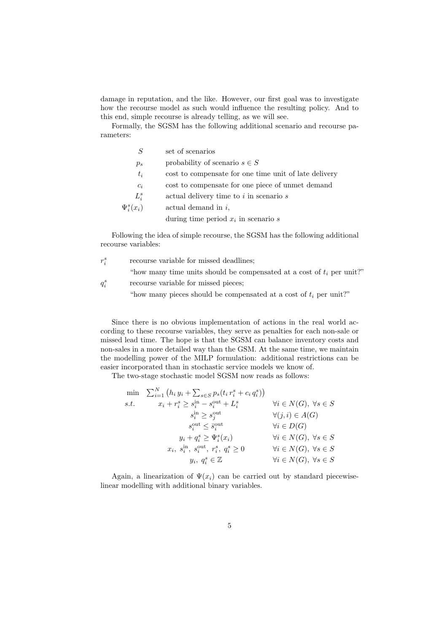damage in reputation, and the like. However, our first goal was to investigate how the recourse model as such would influence the resulting policy. And to this end, simple recourse is already telling, as we will see.

Formally, the SGSM has the following additional scenario and recourse parameters:

| S               | set of scenarios                                      |
|-----------------|-------------------------------------------------------|
| $p_s$           | probability of scenario $s \in S$                     |
| $t_i$           | cost to compensate for one time unit of late delivery |
| $c_i$           | cost to compensate for one piece of unmet demand      |
| $L_i^s$         | actual delivery time to $i$ in scenario $s$           |
| $\Psi_i^s(x_i)$ | actual demand in $i$ ,                                |
|                 | during time period $x_i$ in scenario s                |

Following the idea of simple recourse, the SGSM has the following additional recourse variables:

 $r_i^s$ recourse variable for missed deadlines;

"how many time units should be compensated at a cost of  $t_i$  per unit?"

 $q_i^s$ recourse variable for missed pieces;

"how many pieces should be compensated at a cost of  $t_i$  per unit?"

Since there is no obvious implementation of actions in the real world according to these recourse variables, they serve as penalties for each non-sale or missed lead time. The hope is that the SGSM can balance inventory costs and non-sales in a more detailed way than the GSM. At the same time, we maintain the modelling power of the MILP formulation: additional restrictions can be easier incorporated than in stochastic service models we know of.

The two-stage stochastic model SGSM now reads as follows:

|      | min $\sum_{i=1}^{N} (h_i y_i + \sum_{s \in S} p_s(t_i r_i^s + c_i q_i^s))$ |                                         |
|------|----------------------------------------------------------------------------|-----------------------------------------|
| s.t. | $x_i + r_i^s \geq s_i^{\text{in}} - s_i^{\text{out}} + L_i^s$              | $\forall i \in N(G), \ \forall s \in S$ |
|      | $s_i^{\text{in}} \geq s_i^{\text{out}}$                                    | $\forall (j,i) \in A(G)$                |
|      | $s_i^{\text{out}} \leq \bar{s}_i^{\text{out}}$                             | $\forall i \in D(G)$                    |
|      | $y_i + q_i^s \geq \Psi_i^s(x_i)$                                           | $\forall i \in N(G), \ \forall s \in S$ |
|      | $x_i, s_i^{\text{in}}, s_i^{\text{out}}, r_i^s, q_i^s \geq 0$              | $\forall i \in N(G), \ \forall s \in S$ |
|      | $y_i, q_i^s \in \mathbb{Z}$                                                | $\forall i \in N(G), \ \forall s \in S$ |

Again, a linearization of  $\Psi(x_i)$  can be carried out by standard piecewiselinear modelling with additional binary variables.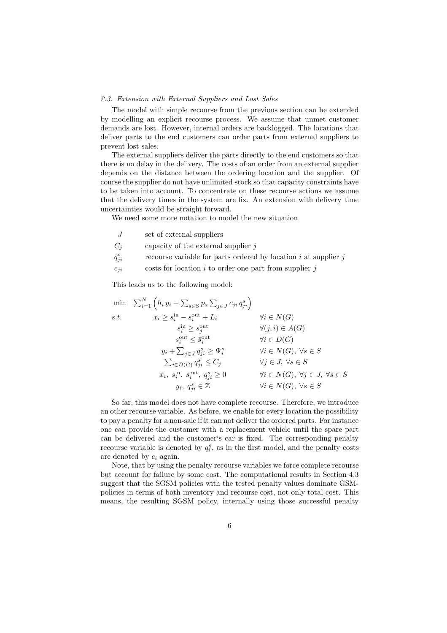#### *2.3. Extension with External Suppliers and Lost Sales*

The model with simple recourse from the previous section can be extended by modelling an explicit recourse process. We assume that unmet customer demands are lost. However, internal orders are backlogged. The locations that deliver parts to the end customers can order parts from external suppliers to prevent lost sales.

The external suppliers deliver the parts directly to the end customers so that there is no delay in the delivery. The costs of an order from an external supplier depends on the distance between the ordering location and the supplier. Of course the supplier do not have unlimited stock so that capacity constraints have to be taken into account. To concentrate on these recourse actions we assume that the delivery times in the system are fix. An extension with delivery time uncertainties would be straight forward.

We need some more notation to model the new situation

- $J \sim$  set of external suppliers
- $C_i$  capacity of the external supplier j
- $q_i^s$ recourse variable for parts ordered by location  $i$  at supplier  $j$
- $c_{ji}$  costs for location i to order one part from supplier j

This leads us to the following model:

$$
\min \sum_{i=1}^{N} \left( h_i y_i + \sum_{s \in S} p_s \sum_{j \in J} c_{ji} q_{ji}^s \right)
$$
\n
$$
s.t. \qquad x_i \ge s_i^{\text{in}} - s_i^{\text{out}} + L_i \qquad \forall i \in N(G)
$$
\n
$$
s_i^{\text{in}} \ge s_j^{\text{out}} \qquad \forall (j, i) \in A(G)
$$
\n
$$
s_i^{\text{out}} \le \overline{s}_i^{\text{out}} \qquad \forall i \in D(G)
$$
\n
$$
y_i + \sum_{j \in J} q_{ji}^s \ge \Psi_i^s \qquad \forall i \in N(G), \forall s \in S
$$
\n
$$
\sum_{i \in D(G)} q_{ji}^s \le C_j \qquad \forall j \in J, \forall s \in S
$$
\n
$$
x_i, s_i^{\text{in}}, s_i^{\text{out}}, q_{ji}^s \ge 0 \qquad \forall i \in N(G), \forall j \in J, \forall s \in S
$$
\n
$$
y_i, q_{ji}^s \in \mathbb{Z} \qquad \forall i \in N(G), \forall s \in S
$$

So far, this model does not have complete recourse. Therefore, we introduce an other recourse variable. As before, we enable for every location the possibility to pay a penalty for a non-sale if it can not deliver the ordered parts. For instance one can provide the customer with a replacement vehicle until the spare part can be delivered and the customer's car is fixed. The corresponding penalty recourse variable is denoted by  $q_i^s$ , as in the first model, and the penalty costs are denoted by  $c_i$  again.

Note, that by using the penalty recourse variables we force complete recourse but account for failure by some cost. The computational results in Section 4.3 suggest that the SGSM policies with the tested penalty values dominate GSMpolicies in terms of both inventory and recourse cost, not only total cost. This means, the resulting SGSM policy, internally using those successful penalty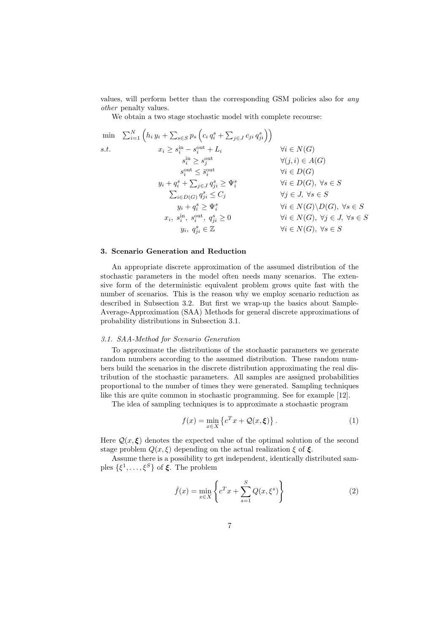values, will perform better than the corresponding GSM policies also for *any other* penalty values.

We obtain a two stage stochastic model with complete recourse:

$$
\min \sum_{i=1}^{N} \left( h_i y_i + \sum_{s \in S} p_s \left( c_i q_i^s + \sum_{j \in J} c_{ji} q_{ji}^s \right) \right)
$$
\n
$$
s.t. \qquad x_i \ge s_i^{\text{in}} - s_i^{\text{out}} + L_i \qquad \forall i \in N(G)
$$
\n
$$
s_i^{\text{out}} \le s_i^{\text{out}} \qquad \forall (j, i) \in A(G)
$$
\n
$$
s_i^{\text{out}} \le \bar{s}_i^{\text{out}} \qquad \forall i \in D(G)
$$
\n
$$
y_i + q_i^s + \sum_{j \in J} q_{ji}^s \ge \Psi_i^s \qquad \forall i \in D(G), \forall s \in S
$$
\n
$$
\sum_{i \in D(G)} q_{ji}^s \le C_j \qquad \forall j \in J, \forall s \in S
$$
\n
$$
y_i + q_i^s \ge \Psi_i^s \qquad \forall i \in N(G) \setminus D(G), \forall s \in S
$$
\n
$$
x_i, s_i^{\text{in}}, s_i^{\text{out}}, q_{ji}^s \ge 0 \qquad \forall i \in N(G), \forall j \in J, \forall s \in S
$$
\n
$$
y_i, q_{ji}^s \in \mathbb{Z} \qquad \forall i \in N(G), \forall s \in S
$$

# 3. Scenario Generation and Reduction

An appropriate discrete approximation of the assumed distribution of the stochastic parameters in the model often needs many scenarios. The extensive form of the deterministic equivalent problem grows quite fast with the number of scenarios. This is the reason why we employ scenario reduction as described in Subsection 3.2. But first we wrap-up the basics about Sample-Average-Approximation (SAA) Methods for general discrete approximations of probability distributions in Subsection 3.1.

#### *3.1. SAA-Method for Scenario Generation*

To approximate the distributions of the stochastic parameters we generate random numbers according to the assumed distribution. These random numbers build the scenarios in the discrete distribution approximating the real distribution of the stochastic parameters. All samples are assigned probabilities proportional to the number of times they were generated. Sampling techniques like this are quite common in stochastic programming. See for example [12].

The idea of sampling techniques is to approximate a stochastic program

$$
f(x) = \min_{x \in X} \left\{ c^T x + \mathcal{Q}(x, \xi) \right\}.
$$
 (1)

Here  $\mathcal{Q}(x,\xi)$  denotes the expected value of the optimal solution of the second stage problem  $Q(x, \xi)$  depending on the actual realization  $\xi$  of  $\xi$ .

Assume there is a possibility to get independent, identically distributed samples  $\{\xi^1,\ldots,\xi^S\}$  of  $\xi$ . The problem

$$
\hat{f}(x) = \min_{x \in X} \left\{ c^T x + \sum_{s=1}^S Q(x, \xi^s) \right\} \tag{2}
$$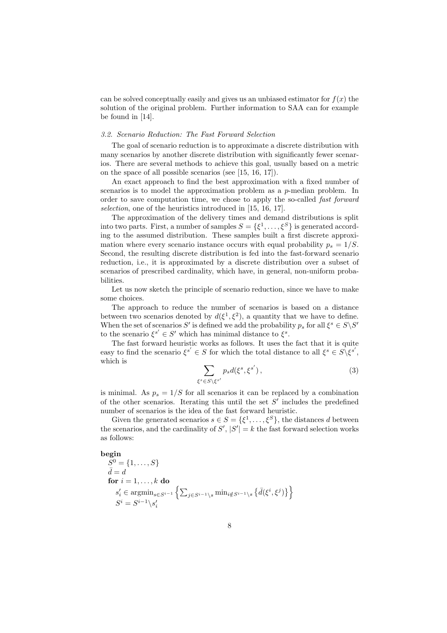can be solved conceptually easily and gives us an unbiased estimator for  $f(x)$  the solution of the original problem. Further information to SAA can for example be found in [14].

#### *3.2. Scenario Reduction: The Fast Forward Selection*

The goal of scenario reduction is to approximate a discrete distribution with many scenarios by another discrete distribution with significantly fewer scenarios. There are several methods to achieve this goal, usually based on a metric on the space of all possible scenarios (see [15, 16, 17]).

An exact approach to find the best approximation with a fixed number of scenarios is to model the approximation problem as a p-median problem. In order to save computation time, we chose to apply the so-called *fast forward selection*, one of the heuristics introduced in [15, 16, 17].

The approximation of the delivery times and demand distributions is split into two parts. First, a number of samples  $S = \{\xi^1, \ldots, \xi^S\}$  is generated according to the assumed distribution. These samples built a first discrete approximation where every scenario instance occurs with equal probability  $p_s = 1/S$ . Second, the resulting discrete distribution is fed into the fast-forward scenario reduction, i.e., it is approximated by a discrete distribution over a subset of scenarios of prescribed cardinality, which have, in general, non-uniform probabilities.

Let us now sketch the principle of scenario reduction, since we have to make some choices.

The approach to reduce the number of scenarios is based on a distance between two scenarios denoted by  $d(\xi^1, \xi^2)$ , a quantity that we have to define. When the set of scenarios S' is defined we add the probability  $p_s$  for all  $\xi^s \in S \backslash S'$ to the scenario  $\xi^{s'} \in S'$  which has minimal distance to  $\xi^s$ .

The fast forward heuristic works as follows. It uses the fact that it is quite easy to find the scenario  $\xi^{s'} \in S$  for which the total distance to all  $\xi^s \in S \setminus \xi^{s'}$ , which is

$$
\sum_{\xi^s \in S \setminus \xi^{s'}} p_s d(\xi^s, \xi^{s'}),\tag{3}
$$

is minimal. As  $p_s = 1/S$  for all scenarios it can be replaced by a combination of the other scenarios. Iterating this until the set  $S'$  includes the predefined number of scenarios is the idea of the fast forward heuristic.

Given the generated scenarios  $s \in S = {\{\xi^1, \ldots, \xi^S\}}$ , the distances d between the scenarios, and the cardinality of  $S'$ ,  $|S'| = k$  the fast forward selection works as follows:

#### begin

$$
S^0 = \{1, ..., S\}
$$
  
\n
$$
\bar{d} = d
$$
  
\n**for**  $i = 1, ..., k$  **do**  
\n
$$
s'_i \in \operatorname{argmin}_{s \in S^{i-1}} \left\{ \sum_{j \in S^{i-1} \backslash s} \min_{i \notin S^{i-1} \backslash s} \left\{ \bar{d}(\xi^i, \xi^j) \right\} \right\}
$$
  
\n
$$
S^i = S^{i-1} \backslash s'_i
$$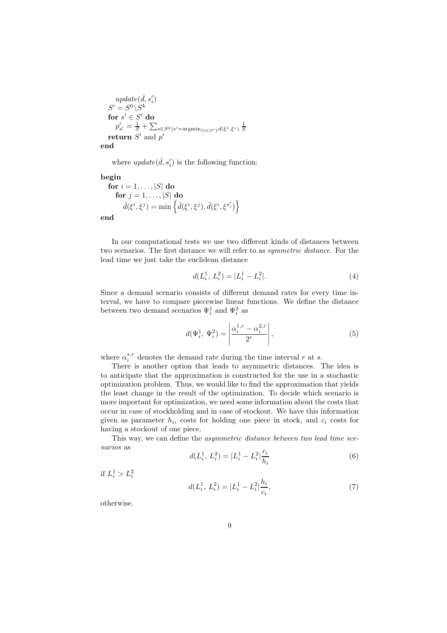$$
update(\bar{d}, s'_i)
$$
  
\n
$$
S' = S^0 \backslash S^k
$$
  
\nfor  $s' \in S'$  do  
\n
$$
p'_{s'} = \frac{1}{S} + \sum_{s \in S^k | s' = \text{argmin}_{\{\bar{s} \in S'\}} d(\xi^{\bar{s}}, \xi^s)} \frac{1}{S}
$$
  
\nreturn  $S'$  and  $p'$ 

end

where  $update(\bar{d}, s'_i)$  is the following function:

begin

$$
\begin{aligned}\n\textbf{for } i = 1, \dots, |S| \textbf{ do} \\
\textbf{for } j = 1, \dots, |S| \textbf{ do} \\
\bar{d}(\xi^i, \xi^j) &= \min \left\{ \bar{d}(\xi^i, \xi^j), \bar{d}(\xi^i, \xi^{s'_i}) \right\} \\
\end{aligned}
$$

end

In our computational tests we use two different kinds of distances between two scenarios. The first distance we will refer to as *symmetric distance*. For the lead time we just take the euclidean distance

$$
d(L_i^1, L_i^2) = |L_i^1 - L_i^2|.
$$
\n(4)

Since a demand scenario consists of different demand rates for every time interval, we have to compare piecewise linear functions. We define the distance between two demand scenarios  $\Psi_i^1$  and  $\Psi_i^2$  as

$$
d(\Psi_i^1, \Psi_i^2) = \left| \frac{\alpha_i^{1,r} - \alpha_i^{2,r}}{2^r} \right|,
$$
\n(5)

where  $\alpha_i^{s,r}$  denotes the demand rate during the time interval r at s.

There is another option that leads to asymmetric distances. The idea is to anticipate that the approximation is constructed for the use in a stochastic optimization problem. Thus, we would like to find the approximation that yields the least change in the result of the optimization. To decide which scenario is more important for optimization, we need some information about the costs that occur in case of stockholding and in case of stockout. We have this information given as parameter  $h_i$ , costs for holding one piece in stock, and  $c_i$  costs for having a stockout of one piece.

This way, we can define the *asymmetric distance between two lead time scenarios* as

$$
d(L_i^1, L_i^2) = |L_i^1 - L_i^2| \frac{c_i}{h_i}
$$
\n<sup>(6)</sup>

if  $L_i^1 > L_i^2$ 

$$
d(L_i^1, L_i^2) = |L_i^1 - L_i^2| \frac{h_i}{c_i},\tag{7}
$$

otherwise.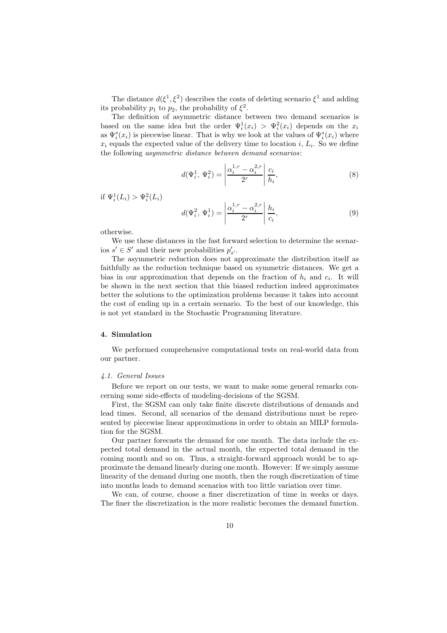The distance  $d(\xi^1, \xi^2)$  describes the costs of deleting scenario  $\xi^1$  and adding its probability  $p_1$  to  $p_2$ , the probability of  $\xi^2$ .

The definition of asymmetric distance between two demand scenarios is based on the same idea but the order  $\Psi_i^1(x_i) > \Psi_i^2(x_i)$  depends on the  $x_i$ as  $\Psi_i^s(x_i)$  is piecewise linear. That is why we look at the values of  $\Psi_i^s(x_i)$  where  $x_i$  equals the expected value of the delivery time to location i,  $L_i$ . So we define the following *asymmetric distance between demand scenarios*:

$$
d(\Psi_i^1, \Psi_i^2) = \left| \frac{\alpha_i^{1,r} - \alpha_i^{2,r}}{2^r} \right| \frac{c_i}{h_i},\tag{8}
$$

if  $\Psi_i^1(L_i) > \Psi_i^2(L_i)$ 

$$
d(\Psi_i^2, \Psi_i^1) = \left| \frac{\alpha_i^{1,r} - \alpha_i^{2,r}}{2^r} \right| \frac{h_i}{c_i},\tag{9}
$$

otherwise.

We use these distances in the fast forward selection to determine the scenarios  $s' \in S'$  and their new probabilities  $p'_{s'}$ .

The asymmetric reduction does not approximate the distribution itself as faithfully as the reduction technique based on symmetric distances. We get a bias in our approximation that depends on the fraction of  $h_i$  and  $c_i$ . It will be shown in the next section that this biased reduction indeed approximates better the solutions to the optimization problems because it takes into account the cost of ending up in a certain scenario. To the best of our knowledge, this is not yet standard in the Stochastic Programming literature.

#### 4. Simulation

We performed comprehensive computational tests on real-world data from our partner.

## *4.1. General Issues*

Before we report on our tests, we want to make some general remarks concerning some side-effects of modeling-decisions of the SGSM.

First, the SGSM can only take finite discrete distributions of demands and lead times. Second, all scenarios of the demand distributions must be represented by piecewise linear approximations in order to obtain an MILP formulation for the SGSM.

Our partner forecasts the demand for one month. The data include the expected total demand in the actual month, the expected total demand in the coming month and so on. Thus, a straight-forward approach would be to approximate the demand linearly during one month. However: If we simply assume linearity of the demand during one month, then the rough discretization of time into months leads to demand scenarios with too little variation over time.

We can, of course, choose a finer discretization of time in weeks or days. The finer the discretization is the more realistic becomes the demand function.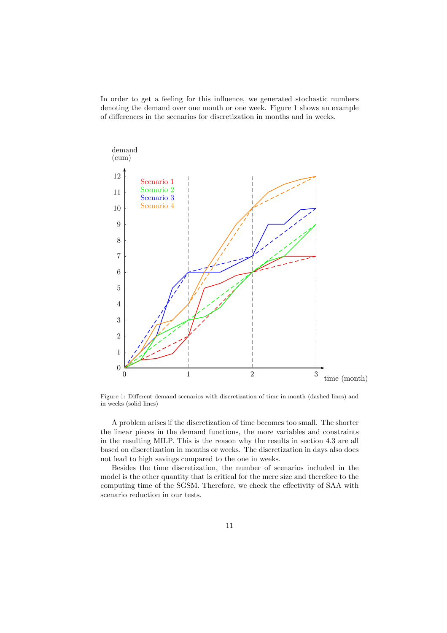In order to get a feeling for this influence, we generated stochastic numbers denoting the demand over one month or one week. Figure 1 shows an example of differences in the scenarios for discretization in months and in weeks.



Figure 1: Different demand scenarios with discretization of time in month (dashed lines) and in weeks (solid lines)

A problem arises if the discretization of time becomes too small. The shorter the linear pieces in the demand functions, the more variables and constraints in the resulting MILP. This is the reason why the results in section 4.3 are all based on discretization in months or weeks. The discretization in days also does not lead to high savings compared to the one in weeks.

Besides the time discretization, the number of scenarios included in the model is the other quantity that is critical for the mere size and therefore to the computing time of the SGSM. Therefore, we check the effectivity of SAA with scenario reduction in our tests.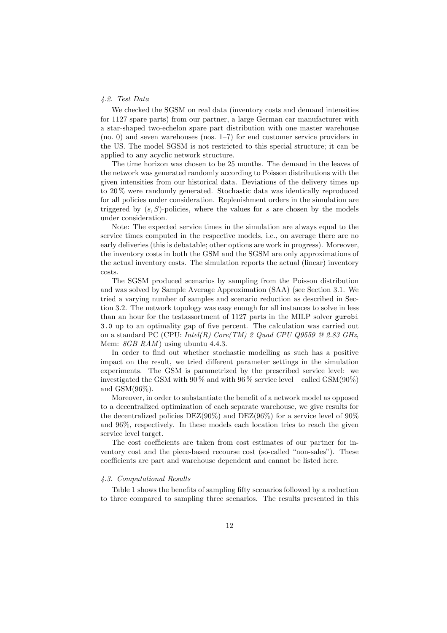#### *4.2. Test Data*

We checked the SGSM on real data (inventory costs and demand intensities for 1127 spare parts) from our partner, a large German car manufacturer with a star-shaped two-echelon spare part distribution with one master warehouse (no. 0) and seven warehouses (nos. 1–7) for end customer service providers in the US. The model SGSM is not restricted to this special structure; it can be applied to any acyclic network structure.

The time horizon was chosen to be 25 months. The demand in the leaves of the network was generated randomly according to Poisson distributions with the given intensities from our historical data. Deviations of the delivery times up to 20 % were randomly generated. Stochastic data was identically reproduced for all policies under consideration. Replenishment orders in the simulation are triggered by  $(s, S)$ -policies, where the values for s are chosen by the models under consideration.

Note: The expected service times in the simulation are always equal to the service times computed in the respective models, i.e., on average there are no early deliveries (this is debatable; other options are work in progress). Moreover, the inventory costs in both the GSM and the SGSM are only approximations of the actual inventory costs. The simulation reports the actual (linear) inventory costs.

The SGSM produced scenarios by sampling from the Poisson distribution and was solved by Sample Average Approximation (SAA) (see Section 3.1. We tried a varying number of samples and scenario reduction as described in Section 3.2. The network topology was easy enough for all instances to solve in less than an hour for the testassortment of 1127 parts in the MILP solver gurobi 3.0 up to an optimality gap of five percent. The calculation was carried out on a standard PC (CPU: *Intel(R) Core(TM) 2 Quad CPU Q9559 @ 2.83 GHz*, Mem: *8GB RAM* ) using ubuntu 4.4.3.

In order to find out whether stochastic modelling as such has a positive impact on the result, we tried different parameter settings in the simulation experiments. The GSM is parametrized by the prescribed service level: we investigated the GSM with  $90\%$  and with  $96\%$  service level – called GSM( $90\%$ ) and  $\text{GSM}(96\%).$ 

Moreover, in order to substantiate the benefit of a network model as opposed to a decentralized optimization of each separate warehouse, we give results for the decentralized policies  $DEZ(90\%)$  and  $DEZ(96\%)$  for a service level of  $90\%$ and 96%, respectively. In these models each location tries to reach the given service level target.

The cost coefficients are taken from cost estimates of our partner for inventory cost and the piece-based recourse cost (so-called "non-sales"). These coefficients are part and warehouse dependent and cannot be listed here.

## *4.3. Computational Results*

Table 1 shows the benefits of sampling fifty scenarios followed by a reduction to three compared to sampling three scenarios. The results presented in this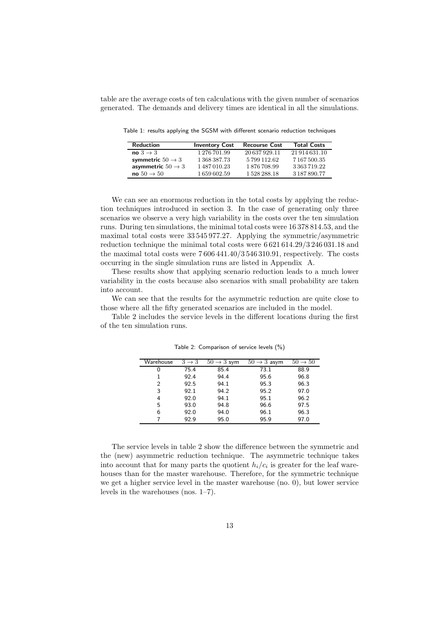table are the average costs of ten calculations with the given number of scenarios generated. The demands and delivery times are identical in all the simulations.

Reduction Inventory Cost Recourse Cost Total Costs<br>no  $3 \rightarrow 3$   $1\,276\,701.99$   $20\,637\,929.11$   $21\,914\,631.10$  $\frac{1\,276\,701.99}{1\,368\,387.73} \qquad \frac{20\,637\,929.11}{5\,799\,112.62} \qquad \frac{21\,914\,631.10}{7\,167\,500.35}$ symmetric  $50 \rightarrow 3$  1  $368\,387.73$  5  $799\,112.62$  7  $167\,500.35$ <br>asymmetric  $50 \rightarrow 3$  1  $487\,010.23$  1  $876\,708.99$  3  $363\,719.22$ asymmetric  $50 \rightarrow 3$ no  $50 \rightarrow 50$  1 659 602.59 1 528 288.18 3 187 890.77

Table 1: results applying the SGSM with different scenario reduction techniques

We can see an enormous reduction in the total costs by applying the reduction techniques introduced in section 3. In the case of generating only three scenarios we observe a very high variability in the costs over the ten simulation runs. During ten simulations, the minimal total costs were 16 378 814.53, and the maximal total costs were 33 545 977.27. Applying the symmetric/asymmetric reduction technique the minimal total costs were 6 621 614.29/3 246 031.18 and the maximal total costs were 7 606 441.40/3 546 310.91, respectively. The costs occurring in the single simulation runs are listed in Appendix A.

These results show that applying scenario reduction leads to a much lower variability in the costs because also scenarios with small probability are taken into account.

We can see that the results for the asymmetric reduction are quite close to those where all the fifty generated scenarios are included in the model.

Table 2 includes the service levels in the different locations during the first of the ten simulation runs.

| Warehouse | $3 \rightarrow 3$ | $50 \rightarrow 3$ sym | $50 \rightarrow 3$ asym | $50 \rightarrow 50$ |
|-----------|-------------------|------------------------|-------------------------|---------------------|
| 0         | 75.4              | 85.4                   | 73.1                    | 88.9                |
| 1         | 92.4              | 94.4                   | 95.6                    | 96.8                |
| 2         | 92.5              | 94.1                   | 95.3                    | 96.3                |
| 3         | 92.1              | 94.2                   | 95.2                    | 97.0                |
| 4         | 92.0              | 94.1                   | 95.1                    | 96.2                |
| 5         | 93.0              | 94.8                   | 96.6                    | 97.5                |
| 6         | 92.0              | 94.0                   | 96.1                    | 96.3                |
|           | 92.9              | 95.0                   | 95.9                    | 97.0                |

Table 2: Comparison of service levels (%)

The service levels in table 2 show the difference between the symmetric and the (new) asymmetric reduction technique. The asymmetric technique takes into account that for many parts the quotient  $h_i/c_i$  is greater for the leaf warehouses than for the master warehouse. Therefore, for the symmetric technique we get a higher service level in the master warehouse (no. 0), but lower service levels in the warehouses (nos. 1–7).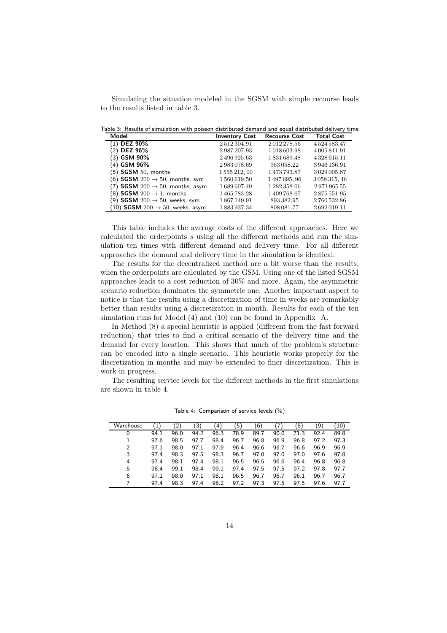Simulating the situation modeled in the SGSM with simple recourse leads to the results listed in table 3.

Table 3: Results of simulation with poisson distributed demand and equal distributed delivery time

| Model                                              | <b>Inventory Cost</b> | <b>Recourse Cost</b> | <b>Total Cost</b>   |
|----------------------------------------------------|-----------------------|----------------------|---------------------|
| $(1)$ DEZ 90%                                      | 2512304.91            | 2012278.56           | 4524583.47          |
| (2) DEZ 96%                                        | 2987207.93            | 1018603.98           | 4 005 811.91        |
| (3) GSM 90%                                        | 2496925.63            | 1831689.48           | 4328615.11          |
| (4) GSM 96%                                        | 2983078.69            | 963 058.22           | 3946136.91          |
| $(5)$ SGSM $50$ , months                           | 1555212,00            | 1473793.87           | 3029005.87          |
| (6) <b>SGSM</b> 200 $\rightarrow$ 50, months, sym  | 1560619.50            | 1497695,96           | 3 0 5 8 3 1 5 , 4 6 |
| (7) <b>SGSM</b> 200 $\rightarrow$ 50, months, asym | 1689607.49            | 1 282 358.06         | 297196555           |
| (8) <b>SGSM</b> 200 $\rightarrow$ 1, months        | 1465783.28            | 1409768.67           | 2875551.95          |
| (9) SGSM $200 \rightarrow 50$ , weeks, sym         | 1867149.91            | 893 382.95           | 2760532.86          |
| (10) SGSM $200 \rightarrow 50$ , weeks, asym       | 1883937.34            | 808 081.77           | 2692019.11          |

This table includes the average costs of the different approaches. Here we calculated the orderpoints s using all the different methods and run the simulation ten times with different demand and delivery time. For all different approaches the demand and delivery time in the simulation is identical.

The results for the decentralized method are a bit worse than the results, when the orderpoints are calculated by the GSM. Using one of the listed SGSM approaches leads to a cost reduction of 30% and more. Again, the asymmetric scenario reduction dominates the symmetric one. Another important aspect to notice is that the results using a discretization of time in weeks are remarkably better than results using a discretization in month. Results for each of the ten simulation runs for Model (4) and (10) can be found in Appendix A.

In Method (8) a special heuristic is applied (different from the fast forward reduction) that tries to find a critical scenario of the delivery time and the demand for every location. This shows that much of the problem's structure can be encoded into a single scenario. This heuristic works properly for the discretization in months and may be extended to finer discretization. This is work in progress.

The resulting service levels for the different methods in the first simulations are shown in table 4.

| Warehouse      |      | '2ì  | 3)   | 4    | $\sqrt{5}$ | 6)   |      | 8)   | `9   | 10)  |
|----------------|------|------|------|------|------------|------|------|------|------|------|
|                | 94.1 | 96.0 | 94.2 | 96.3 | 78.9       | 89.7 | 90.0 | 71.3 | 92.4 | 89.8 |
|                | 97.6 | 98.5 | 97.7 | 98.4 | 96.7       | 96.8 | 96.9 | 96.8 | 97.2 | 97.3 |
| $\overline{2}$ | 97.1 | 98.0 | 97.1 | 97.9 | 96.4       | 96.6 | 96.7 | 96.6 | 96.9 | 96.9 |
| 3              | 97.4 | 98.3 | 97.5 | 98.3 | 96.7       | 97.0 | 97.0 | 97.0 | 97.6 | 97.8 |
| 4              | 97.4 | 98.1 | 97.4 | 98.1 | 96.5       | 96.5 | 96.6 | 96.4 | 96.8 | 96.8 |
| 5              | 98.4 | 99.1 | 98.4 | 99.1 | 97.4       | 97.5 | 97.5 | 97.2 | 97.8 | 97.7 |
| 6              | 97.1 | 98.0 | 97.1 | 98.1 | 96.5       | 96.7 | 96.7 | 96.1 | 96.7 | 96.7 |
|                | 97.4 | 98.3 | 97.4 | 98.2 | 97.2       | 97.3 | 97.5 | 97.5 | 97.6 | 97.7 |

Table 4: Comparison of service levels (%)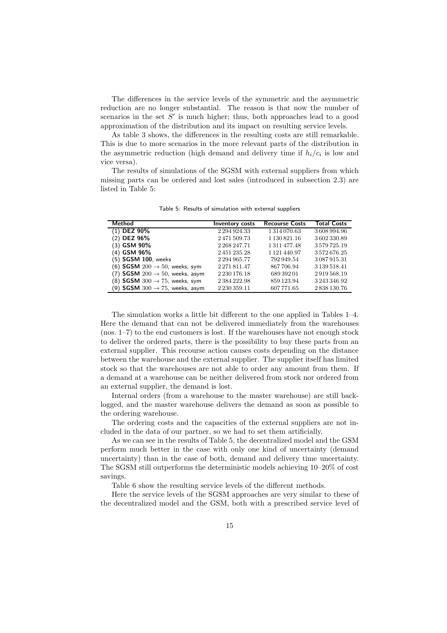The differences in the service levels of the symmetric and the asymmetric reduction are no longer substantial. The reason is that now the number of scenarios in the set  $S'$  is much higher; thus, both approaches lead to a good approximation of the distribution and its impact on resulting service levels.

As table 3 shows, the differences in the resulting costs are still remarkable. This is due to more scenarios in the more relevant parts of the distribution in the asymmetric reduction (high demand and delivery time if  $h_i/c_i$  is low and vice versa).

The results of simulations of the SGSM with external suppliers from which missing parts can be ordered and lost sales (introduced in subsection 2.3) are listed in Table 5:

| Method                                      | <b>Inventory costs</b> | <b>Recourse Costs</b> | <b>Total Costs</b> |
|---------------------------------------------|------------------------|-----------------------|--------------------|
| $(1)$ DEZ 90%                               | 2294924.33             | 1314070.63            | 3608994.96         |
| (2) DEZ 96%                                 | 2471509.73             | 1 1 30 8 2 1 . 1 6    | 3602330.89         |
| (3) GSM 90%                                 | 2 2 68 2 47.71         | 1311477.48            | 3579725.19         |
| (4) GSM 96%                                 | 2451235.28             | 1 1 2 1 4 4 0 . 9 7   | 3572676.25         |
| (5) SGSM 100, weeks                         | 2 2 9 4 9 6 5 . 7 7    | 792949.54             | 3087915.31         |
| (6) SGSM $200 \rightarrow 50$ , weeks, sym  | 2271811.47             | 867706.94             | 3 139 518.41       |
| (7) SGSM $200 \rightarrow 50$ , weeks, asym | 2 2 30 1 76 18         | 689 392 01            | 2919568.19         |
| (8) SGSM $300 \rightarrow 75$ , weeks, sym  | 2384222.98             | 859123.94             | 3 243 346.92       |
| (9) SGSM $300 \rightarrow 75$ , weeks, asym | 2230359.11             | 607771.65             | 2838130.76         |

Table 5: Results of simulation with external suppliers

The simulation works a little bit different to the one applied in Tables 1–4. Here the demand that can not be delivered immediately from the warehouses (nos. 1–7) to the end customers is lost. If the warehouses have not enough stock to deliver the ordered parts, there is the possibility to buy these parts from an external supplier. This recourse action causes costs depending on the distance between the warehouse and the external supplier. The supplier itself has limited stock so that the warehouses are not able to order any amount from them. If a demand at a warehouse can be neither delivered from stock nor ordered from an external supplier, the demand is lost.

Internal orders (from a warehouse to the master warehouse) are still backlogged, and the master warehouse delivers the demand as soon as possible to the ordering warehouse.

The ordering costs and the capacities of the external suppliers are not included in the data of our partner, so we had to set them artificially.

As we can see in the results of Table 5, the decentralized model and the GSM perform much better in the case with only one kind of uncertainty (demand uncertainty) than in the case of both, demand and delivery time uncertainty. The SGSM still outperforms the deterministic models achieving 10–20% of cost savings.

Table 6 show the resulting service levels of the different methods.

Here the service levels of the SGSM approaches are very similar to these of the decentralized model and the GSM, both with a prescribed service level of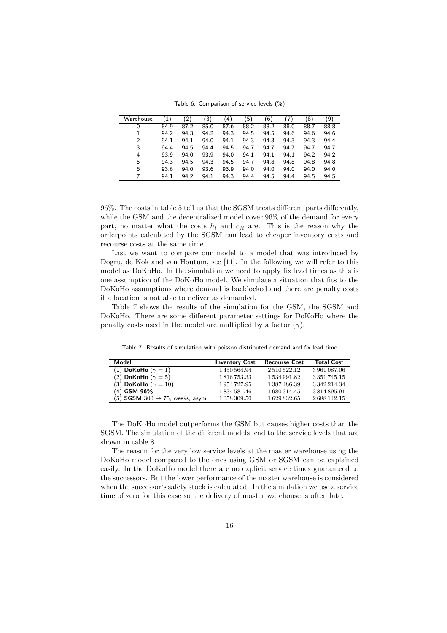Table 6: Comparison of service levels (%)

| Warehouse      | $\left( 1\right)$ | $\mathbf{2}$ | 3)   | 4)   | ์5)  | (6)  | 7    | 8)   | (9   |
|----------------|-------------------|--------------|------|------|------|------|------|------|------|
| 0              | 84.9              | 87.2         | 85.0 | 87.6 | 88.2 | 88.2 | 88.0 | 88.7 | 88.8 |
|                | 94.2              | 94.3         | 94.2 | 94.3 | 94.5 | 94.5 | 94.6 | 94.6 | 94.6 |
| $\overline{2}$ | 94.1              | 94.1         | 94.0 | 94.1 | 94.3 | 94.3 | 94.3 | 94.3 | 94.4 |
| 3              | 94.4              | 94.5         | 94.4 | 94.5 | 94.7 | 94.7 | 94.7 | 94.7 | 94.7 |
| 4              | 93.9              | 94.0         | 93.9 | 94.0 | 94.1 | 94.1 | 94.1 | 94.2 | 94.2 |
| 5              | 94.3              | 94.5         | 94.3 | 94.5 | 94.7 | 94.8 | 94.8 | 94.8 | 94.8 |
| 6              | 93.6              | 94.0         | 93.6 | 93.9 | 94.0 | 94.0 | 94.0 | 94.0 | 94.0 |
|                | 94.1              | 94.2         | 94.1 | 94.3 | 94.4 | 94.5 | 94.4 | 94.5 | 94.5 |

96%. The costs in table 5 tell us that the SGSM treats different parts differently, while the GSM and the decentralized model cover 96% of the demand for every part, no matter what the costs  $h_i$  and  $c_{ji}$  are. This is the reason why the orderpoints calculated by the SGSM can lead to cheaper inventory costs and recourse costs at the same time.

Last we want to compare our model to a model that was introduced by Doğru, de Kok and van Houtum, see [11]. In the following we will refer to this model as DoKoHo. In the simulation we need to apply fix lead times as this is one assumption of the DoKoHo model. We simulate a situation that fits to the DoKoHo assumptions where demand is backlocked and there are penalty costs if a location is not able to deliver as demanded.

Table 7 shows the results of the simulation for the GSM, the SGSM and DoKoHo. There are some different parameter settings for DoKoHo where the penalty costs used in the model are multiplied by a factor  $(\gamma)$ .

| Model                                             | <b>Inventory Cost</b> | <b>Recourse Cost</b> | <b>Total Cost</b> |
|---------------------------------------------------|-----------------------|----------------------|-------------------|
| (1) DoKoHo ( $\gamma = 1$ )                       | 1450564.94            | 2510522.12           | 3961087.06        |
| (2) DoKoHo ( $\gamma = 5$ )                       | 1 816 753.33          | 1 534 991.82         | 3 3 5 1 7 4 5 1 5 |
| (3) DoKoHo ( $\gamma = 10$ )                      | 1 954 727.95          | 1387486.39           | 3342214.34        |
| (4) GSM 96%                                       | 1834581.46            | 1980314.45           | 3814895.91        |
| (5) <b>SGSM</b> 300 $\rightarrow$ 75, weeks, asym | 1 058 309.50          | 1629832.65           | 2688142.15        |

Table 7: Results of simulation with poisson distributed demand and fix lead time

The DoKoHo model outperforms the GSM but causes higher costs than the SGSM. The simulation of the different models lead to the service levels that are shown in table 8.

The reason for the very low service levels at the master warehouse using the DoKoHo model compared to the ones using GSM or SGSM can be explained easily. In the DoKoHo model there are no explicit service times guaranteed to the successors. But the lower performance of the master warehouse is considered when the successor's safety stock is calculated. In the simulation we use a service time of zero for this case so the delivery of master warehouse is often late.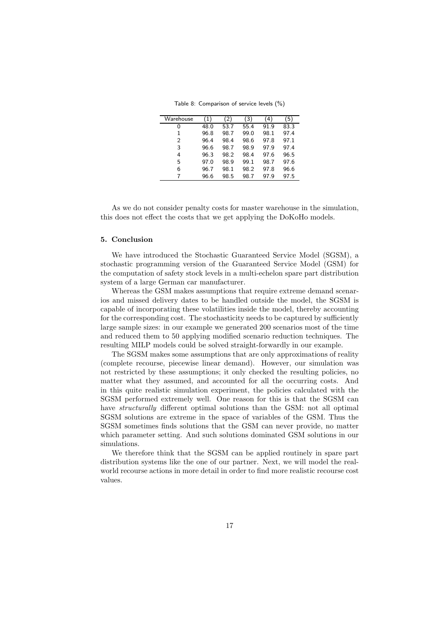Table 8: Comparison of service levels (%)

| Warehouse | (1,  | $^{\prime}$ 2 , | 3)   | 4    | ٬5٬  |
|-----------|------|-----------------|------|------|------|
| 0         | 48.0 | 53.7            | 55.4 | 91.9 | 83.3 |
| 1         | 96.8 | 98.7            | 99.0 | 98.1 | 97.4 |
| 2         | 96.4 | 98.4            | 98.6 | 97.8 | 97.1 |
| 3         | 96.6 | 98.7            | 98.9 | 97.9 | 97.4 |
| 4         | 96.3 | 98.2            | 98.4 | 97.6 | 96.5 |
| 5         | 97.0 | 98.9            | 99.1 | 98.7 | 97.6 |
| 6         | 96.7 | 98.1            | 98.2 | 97.8 | 96.6 |
| 7         | 96.6 | 98.5            | 98.7 | 97.9 | 97.5 |

As we do not consider penalty costs for master warehouse in the simulation, this does not effect the costs that we get applying the DoKoHo models.

## 5. Conclusion

We have introduced the Stochastic Guaranteed Service Model (SGSM), a stochastic programming version of the Guaranteed Service Model (GSM) for the computation of safety stock levels in a multi-echelon spare part distribution system of a large German car manufacturer.

Whereas the GSM makes assumptions that require extreme demand scenarios and missed delivery dates to be handled outside the model, the SGSM is capable of incorporating these volatilities inside the model, thereby accounting for the corresponding cost. The stochasticity needs to be captured by sufficiently large sample sizes: in our example we generated 200 scenarios most of the time and reduced them to 50 applying modified scenario reduction techniques. The resulting MILP models could be solved straight-forwardly in our example.

The SGSM makes some assumptions that are only approximations of reality (complete recourse, piecewise linear demand). However, our simulation was not restricted by these assumptions; it only checked the resulting policies, no matter what they assumed, and accounted for all the occurring costs. And in this quite realistic simulation experiment, the policies calculated with the SGSM performed extremely well. One reason for this is that the SGSM can have *structurally* different optimal solutions than the GSM: not all optimal SGSM solutions are extreme in the space of variables of the GSM. Thus the SGSM sometimes finds solutions that the GSM can never provide, no matter which parameter setting. And such solutions dominated GSM solutions in our simulations.

We therefore think that the SGSM can be applied routinely in spare part distribution systems like the one of our partner. Next, we will model the realworld recourse actions in more detail in order to find more realistic recourse cost values.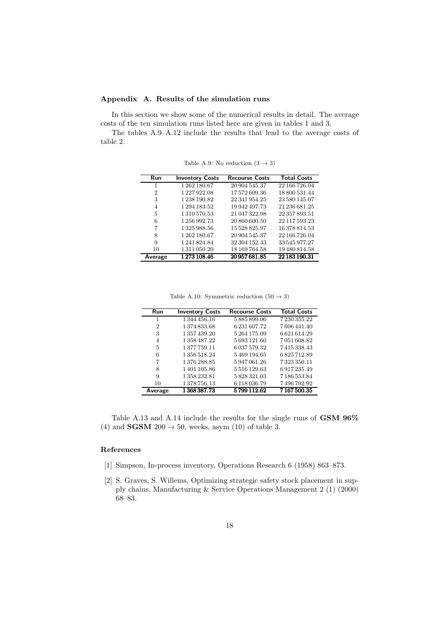# Appendix A. Results of the simulation runs

In this section we show some of the numerical results in detail. The average costs of the ten simulation runs listed here are given in tables 1 and 3.

The tables A.9–A.12 include the results that lead to the average costs of table 2.

| Run     | <b>Inventory Costs</b> | <b>Recourse Costs</b> | <b>Total Costs</b> |
|---------|------------------------|-----------------------|--------------------|
|         | 1262180.67             | 20 904 545.37         | 22 166 726.04      |
| 2       | 1227922.08             | 17572609.36           | 18 800 531.44      |
| 3       | 1 238 190.82           | 22 341 954.25         | 23 580 145.07      |
| 4       | 1 294 183.52           | 19 942 497.73         | 21 236 681.25      |
| 5       | 1 310 570.53           | 21 047 322.98         | 22 357 893.51      |
| 6       | 1 256 992.73           | 20 860 600.50         | 22 117 593.23      |
| 7       | 1325988.56             | 15 528 825.97         | 16 378 814.53      |
| 8       | 1 262 180.67           | 20 904 545.37         | 22 166 726.04      |
| 9       | 1 241 824.84           | 32 304 152.43         | 33 545 977.27      |
| 10      | 1 311 050.20           | 18 169 764.58         | 19 480 814.58      |
| Average | 1273 108.46            | 20 957 681.85         | 22 183 190.31      |

Table A.9: No reduction  $(3 \rightarrow 3)$ 

Table A.10: Symmetric reduction  $(50 \rightarrow 3)$ 

| Run            | <b>Inventory Costs</b> | <b>Recourse Costs</b> | <b>Total Costs</b> |
|----------------|------------------------|-----------------------|--------------------|
| 1              | 1344456.16             | 5885899.06            | 7230355.22         |
| $\overline{2}$ | 1374833.68             | 6 231 607.72          | 7606441.40         |
| 3              | 1 357 439.20           | 5264175.09            | 6621614.29         |
| $\overline{4}$ | 1 358 487.22           | 5693121.60            | 7051608.82         |
| 5              | 1377759.11             | 6 0 3 7 5 7 9 . 3 2   | 7415338.43         |
| 6              | 1 356 518.24           | 5469194.65            | 6825712.89         |
| 7              | 1376288.85             | 5947061.26            | 7323350.11         |
| 8              | 1401105.86             | 5516129.63            | 6917235.49         |
| 9              | 1358232.81             | 5828321.03            | 7186553.84         |
| 10             | 1378756.13             | 6 1 1 8 0 3 6 . 7 9   | 7496792.92         |
| Average        | 1 368 387.73           | 5799112.62            | 7167500.35         |

Table A.13 and A.14 include the results for the single runs of GSM 96% (4) and **SGSM** 200  $\rightarrow$  50, weeks, asym (10) of table 3.

# References

- [1] Simpson, In-process inventory, Operations Research 6 (1958) 863–873.
- [2] S. Graves, S. Willems, Optimizing strategic safety stock placement in supply chains, Manufacturing & Service Operations Management 2 (1) (2000) 68–83.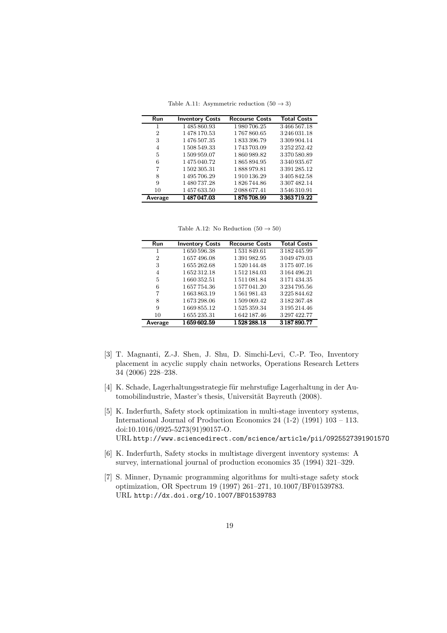Table A.11: Asymmetric reduction  $(50 \rightarrow 3)$ 

| Run            | <b>Inventory Costs</b> | <b>Recourse Costs</b> | <b>Total Costs</b> |
|----------------|------------------------|-----------------------|--------------------|
| 1              | 1485860.93             | 1980706.25            | 3466567.18         |
| $\overline{2}$ | 1478170.53             | 1767860.65            | 3246031.18         |
| 3              | 1476 507.35            | 1833396.79            | 3309904.14         |
| $\overline{4}$ | 1508549.33             | 1743703.09            | 3252252.42         |
| 5              | 1509959.07             | 1860989.82            | 3370580.89         |
| 6              | 1475040.72             | 1865894.95            | 3340935.67         |
| 7              | 1502305.31             | 1888979.81            | 3391285.12         |
| 8              | 1495706.29             | 1910136.29            | 3405842.58         |
| 9              | 1480737.28             | 1826744.86            | 3307482.14         |
| 10             | 1457633.50             | 2088677.41            | 3546310.91         |
| Average        | 1487047.03             | 1876708.99            | 3363719.22         |

Table A.12: No Reduction  $(50 \rightarrow 50)$ 

| <b>Run</b>     | <b>Inventory Costs</b> | <b>Recourse Costs</b> | <b>Total Costs</b>  |
|----------------|------------------------|-----------------------|---------------------|
| 1              | 1650596.38             | 1531849.61            | 3 182 445.99        |
| 2              | 1657496.08             | 1391982.95            | 3049479.03          |
| 3              | 1655262.68             | 1520144.48            | 3 1 7 5 4 0 7 . 1 6 |
| $\overline{4}$ | 1652312.18             | 1512184.03            | 3164496.21          |
| 5              | 1660352.51             | 1511081.84            | 3 171 434.35        |
| 6              | 1657754.36             | 1577041.20            | 3234795.56          |
| 7              | 1663863.19             | 1561981.43            | 3225844.62          |
| 8              | 1673298.06             | 1509069.42            | 3 182 367.48        |
| 9              | 1669855.12             | 1525359.34            | 3 195 214.46        |
| 10             | 1655235.31             | 1642187.46            | 3297422.77          |
| Average        | 1659602.59             | 1528288.18            | 3187890.77          |

- [3] T. Magnanti, Z.-J. Shen, J. Shu, D. Simchi-Levi, C.-P. Teo, Inventory placement in acyclic supply chain networks, Operations Research Letters 34 (2006) 228–238.
- [4] K. Schade, Lagerhaltungsstrategie für mehrstufige Lagerhaltung in der Automobilindustrie, Master's thesis, Universität Bayreuth (2008).
- [5] K. Inderfurth, Safety stock optimization in multi-stage inventory systems, International Journal of Production Economics 24 (1-2) (1991) 103 – 113. doi:10.1016/0925-5273(91)90157-O. URL http://www.sciencedirect.com/science/article/pii/092552739190157O
- [6] K. Inderfurth, Safety stocks in multistage divergent inventory systems: A survey, international journal of production economics 35 (1994) 321–329.
- [7] S. Minner, Dynamic programming algorithms for multi-stage safety stock optimization, OR Spectrum 19 (1997) 261–271, 10.1007/BF01539783. URL http://dx.doi.org/10.1007/BF01539783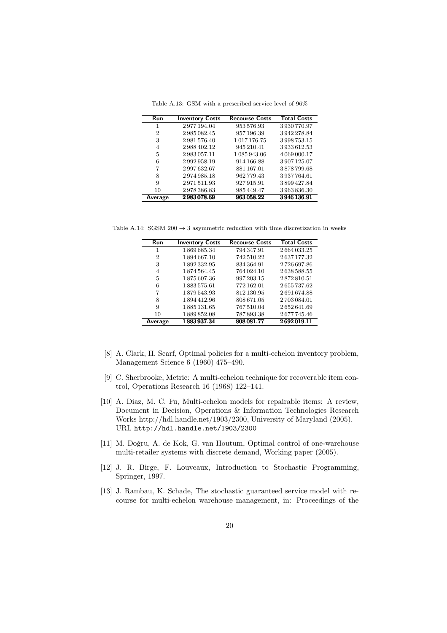| <b>Run</b>     | <b>Inventory Costs</b> | <b>Recourse Costs</b> | <b>Total Costs</b> |
|----------------|------------------------|-----------------------|--------------------|
|                | 2977194.04             | 953 576.93            | 3930770.97         |
| $\overline{2}$ | 2985082.45             | 957 196.39            | 3942278.84         |
| 3              | 2981576.40             | 1017176.75            | 3998753.15         |
| 4              | 2988402.12             | 945 210.41            | 3933612.53         |
| 5              | 2983057.11             | 1 085 943.06          | 4 0 69 0 0 0.17    |
| 6              | 2992958.19             | 914 166.88            | 3907125.07         |
| 7              | 2997632.67             | 881 167.01            | 3878799.68         |
| 8              | 2974985.18             | 962779.43             | 3937764.61         |
| 9              | 2971511.93             | 927915.91             | 3899427.84         |
| 10             | 2978386.83             | 985 449.47            | 3963836.30         |
| Average        | 2983078.69             | 963058.22             | 3946136.91         |

Table A.13: GSM with a prescribed service level of 96%

Table A.14: SGSM  $200 \rightarrow 3$  asymmetric reduction with time discretization in weeks

| Run            | <b>Inventory Costs</b> | <b>Recourse Costs</b> | <b>Total Costs</b> |
|----------------|------------------------|-----------------------|--------------------|
| 1              | 1869685.34             | 794 347.91            | 2664033.25         |
| $\overline{2}$ | 1894667.10             | 742 510.22            | 2637177.32         |
| 3              | 1892332.95             | 834 364.91            | 2726697.86         |
| $\overline{4}$ | 1874564.45             | 764 024.10            | 2638588.55         |
| 5              | 1875607.36             | 997 203.15            | 2872810.51         |
| 6              | 1883575.61             | 772 162.01            | 2655737.62         |
| 7              | 1879543.93             | 812 130.95            | 2691674.88         |
| 8              | 1894412.96             | 808 671.05            | 2703084.01         |
| 9              | 1885 131.65            | 767 510.04            | 2652641.69         |
| 10             | 1889852.08             | 787 893.38            | 2677745.46         |
| Average        | 1883937.34             | 808 081.77            | 2692019.11         |

- [8] A. Clark, H. Scarf, Optimal policies for a multi-echelon inventory problem, Management Science 6 (1960) 475–490.
- [9] C. Sherbrooke, Metric: A multi-echelon technique for recoverable item control, Operations Research 16 (1968) 122–141.
- [10] A. Diaz, M. C. Fu, Multi-echelon models for repairable items: A review, Document in Decision, Operations & Information Technologies Research Works http://hdl.handle.net/1903/2300, University of Maryland (2005). URL http://hdl.handle.net/1903/2300
- [11] M. Doğru, A. de Kok, G. van Houtum, Optimal control of one-warehouse multi-retailer systems with discrete demand, Working paper (2005).
- [12] J. R. Birge, F. Louveaux, Introduction to Stochastic Programming, Springer, 1997.
- [13] J. Rambau, K. Schade, The stochastic guaranteed service model with recourse for multi-echelon warehouse management, in: Proceedings of the